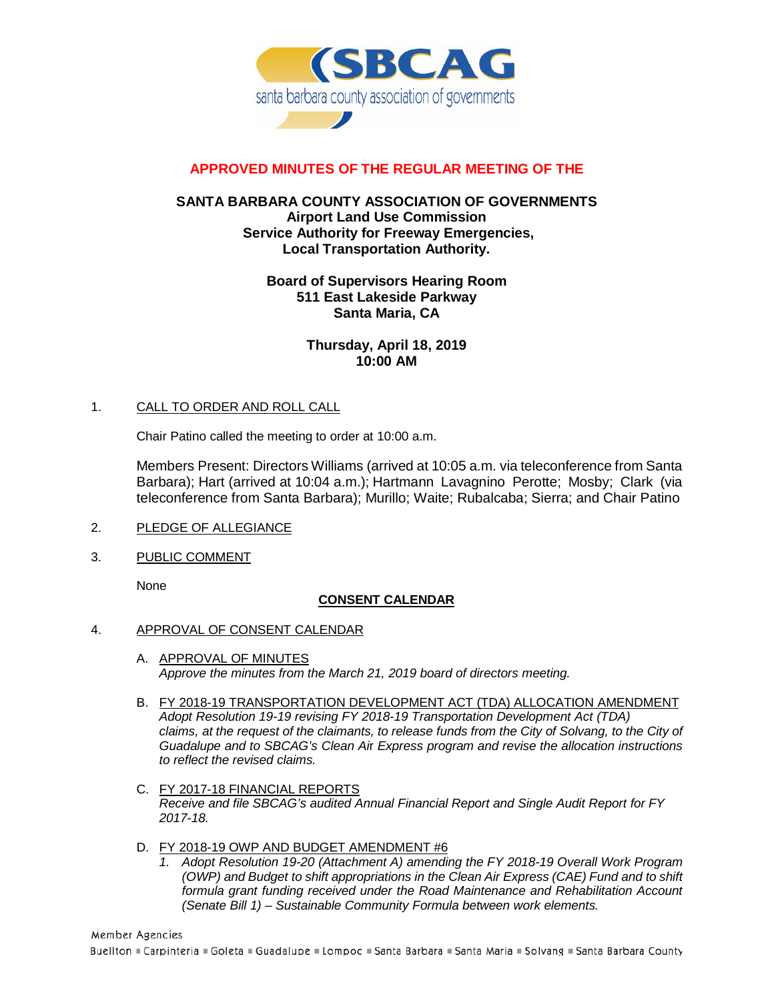

# **APPROVED MINUTES OF THE REGULAR MEETING OF THE**

## **SANTA BARBARA COUNTY ASSOCIATION OF GOVERNMENTS Airport Land Use Commission Service Authority for Freeway Emergencies, Local Transportation Authority.**

### **Board of Supervisors Hearing Room 511 East Lakeside Parkway Santa Maria, CA**

**Thursday, April 18, 2019 10:00 AM**

#### 1. CALL TO ORDER AND ROLL CALL

Chair Patino called the meeting to order at 10:00 a.m.

Members Present: Directors Williams (arrived at 10:05 a.m. via teleconference from Santa Barbara); Hart (arrived at 10:04 a.m.); Hartmann Lavagnino Perotte; Mosby; Clark (via teleconference from Santa Barbara); Murillo; Waite; Rubalcaba; Sierra; and Chair Patino

- 2. PLEDGE OF ALLEGIANCE
- 3. PUBLIC COMMENT

None

#### **CONSENT CALENDAR**

#### 4. APPROVAL OF CONSENT CALENDAR

- A. APPROVAL OF MINUTES *Approve the minutes from the March 21, 2019 board of directors meeting.*
- B. FY 2018-19 TRANSPORTATION DEVELOPMENT ACT (TDA) ALLOCATION AMENDMENT *Adopt Resolution 19-19 revising FY 2018-19 Transportation Development Act (TDA)*  claims, at the request of the claimants, to release funds from the City of Solvang, to the City of *Guadalupe and to SBCAG's Clean Ai*r *Express program and revise the allocation instructions to reflect the revised claims.*
- C. FY 2017-18 FINANCIAL REPORTS *Receive and file SBCAG's audited Annual Financial Report and Single Audit Report for FY 2017-18.*
- D. FY 2018-19 OWP AND BUDGET AMENDMENT #6<br>1. Adopt Resolution 19-20 (Attachment A) amendia
	- *1. Adopt Resolution 19-20 (Attachment A) amending the FY 2018-19 Overall Work Program (OWP) and Budget to shift appropriations in the Clean Air Express (CAE) Fund and to shift*  formula grant funding received under the Road Maintenance and Rehabilitation Account *(Senate Bill 1) – Sustainable Community Formula between work elements.*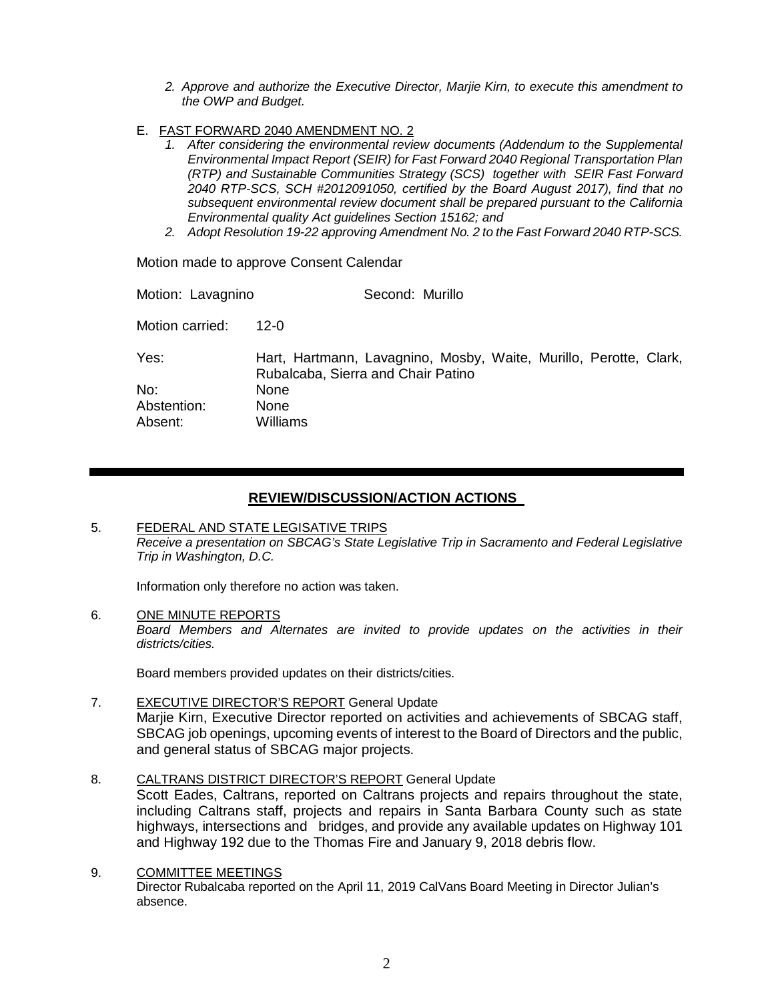- *2. Approve and authorize the Executive Director, Marjie Kirn, to execute this amendment to the OWP and Budget.*
- E. FAST FORWARD 2040 AMENDMENT NO. 2
	- 1. After considering the environmental review documents (Addendum to the Supplemental *Environmental Impact Report (SEIR) for Fast Forward 2040 Regional Transportation Plan (RTP) and Sustainable Communities Strategy (SCS) together with SEIR Fast Forward 2040 RTP-SCS, SCH #2012091050, certified by the Board August 2017), find that no subsequent environmental review document shall be prepared pursuant to the California Environmental quality Act guidelines Section 15162; and*
	- *2. Adopt Resolution 19-22 approving Amendment No. 2 to the Fast Forward 2040 RTP-SCS.*

Motion made to approve Consent Calendar

| Motion: Lavagnino | Second: Murillo                                                                                         |
|-------------------|---------------------------------------------------------------------------------------------------------|
| Motion carried:   | 12-0                                                                                                    |
| Yes:              | Hart, Hartmann, Lavagnino, Mosby, Waite, Murillo, Perotte, Clark,<br>Rubalcaba, Sierra and Chair Patino |
| No:               | <b>None</b>                                                                                             |
| Abstention:       | <b>None</b>                                                                                             |
| Absent:           | Williams                                                                                                |

#### **REVIEW/DISCUSSION/ACTION ACTIONS**

#### 5. FEDERAL AND STATE LEGISATIVE TRIPS *Receive a presentation on SBCAG's State Legislative Trip in Sacramento and Federal Legislative Trip in Washington, D.C.*

Information only therefore no action was taken.

6. ONE MINUTE REPORTS *Board Members and Alternates are invited to provide updates on the activities in their districts/cities.*

Board members provided updates on their districts/cities.

- 7. EXECUTIVE DIRECTOR'S REPORT General Update Marjie Kirn, Executive Director reported on activities and achievements of SBCAG staff, SBCAG job openings, upcoming events of interest to the Board of Directors and the public, and general status of SBCAG major projects.
- 8. CALTRANS DISTRICT DIRECTOR'S REPORT General Update Scott Eades, Caltrans, reported on Caltrans projects and repairs throughout the state, including Caltrans staff, projects and repairs in Santa Barbara County such as state highways, intersections and bridges, and provide any available updates on Highway 101 and Highway 192 due to the Thomas Fire and January 9, 2018 debris flow.
- 9. COMMITTEE MEETINGS Director Rubalcaba reported on the April 11, 2019 CalVans Board Meeting in Director Julian's absence.